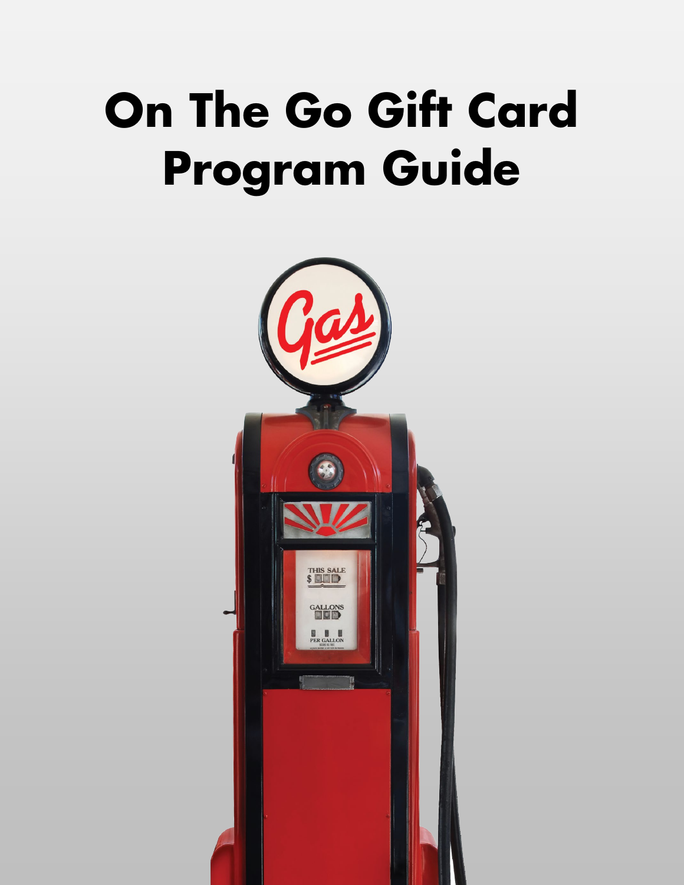# **On The Go Gift Card Program Guide**

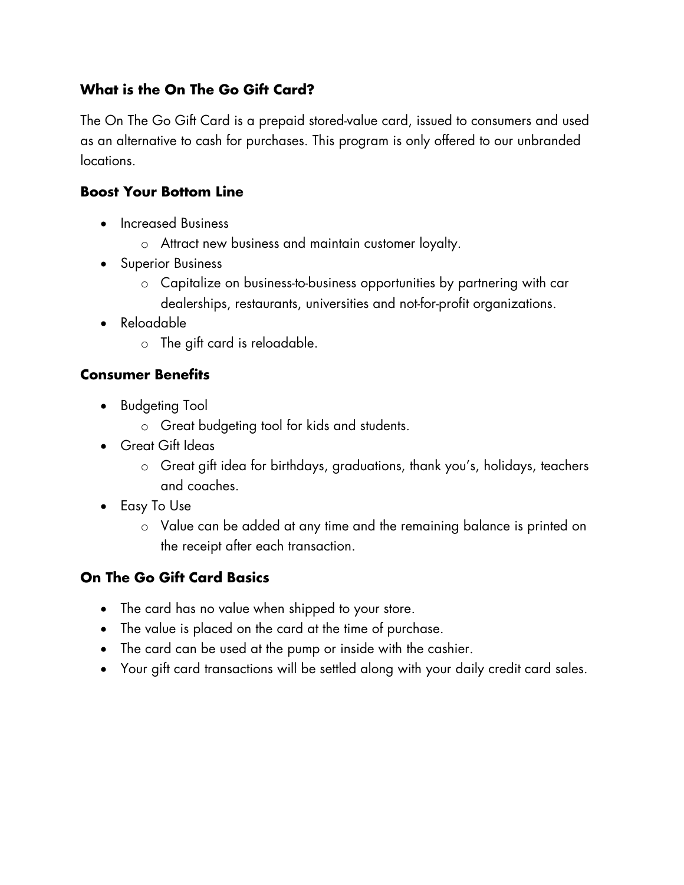# **What is the On The Go Gift Card?**

The On The Go Gift Card is a prepaid stored-value card, issued to consumers and used as an alternative to cash for purchases. This program is only offered to our unbranded locations.

#### **Boost Your Bottom Line**

- Increased Business
	- o Attract new business and maintain customer loyalty.
- Superior Business
	- o Capitalize on business-to-business opportunities by partnering with car dealerships, restaurants, universities and not-for-profit organizations.
- Reloadable
	- o The gift card is reloadable.

#### **Consumer Benefits**

- Budgeting Tool
	- o Great budgeting tool for kids and students.
- Great Gift Ideas
	- o Great gift idea for birthdays, graduations, thank you's, holidays, teachers and coaches.
- Easy To Use
	- o Value can be added at any time and the remaining balance is printed on the receipt after each transaction.

# **On The Go Gift Card Basics**

- The card has no value when shipped to your store.
- The value is placed on the card at the time of purchase.
- The card can be used at the pump or inside with the cashier.
- Your gift card transactions will be settled along with your daily credit card sales.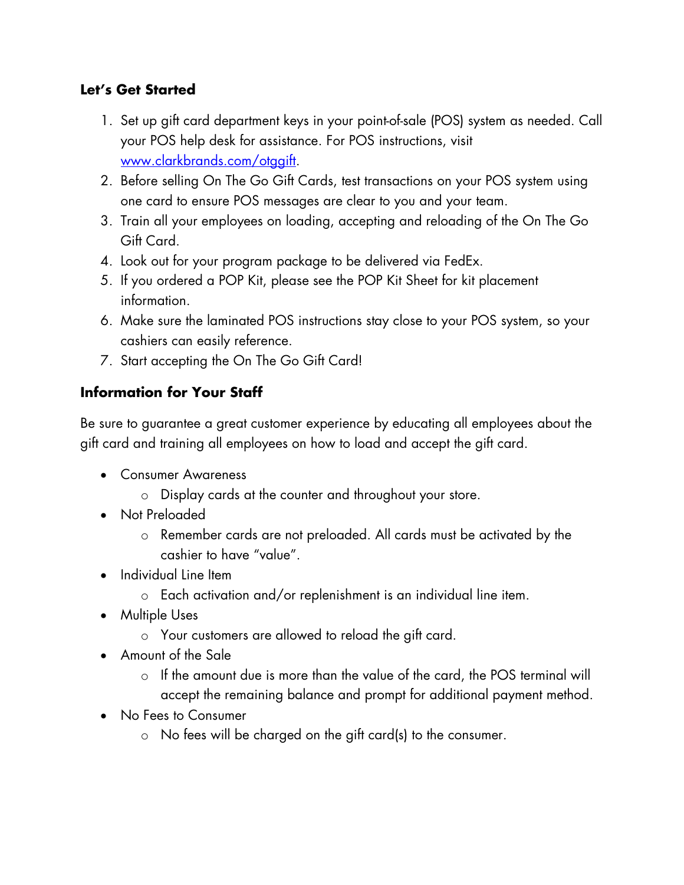# **Let's Get Started**

- 1. Set up gift card department keys in your point-of-sale (POS) system as needed. Call your POS help desk for assistance. For POS instructions, visit [www.clarkbrands.com/otggift.](http://www.clarkbrands.com/otggift)
- 2. Before selling On The Go Gift Cards, test transactions on your POS system using one card to ensure POS messages are clear to you and your team.
- 3. Train all your employees on loading, accepting and reloading of the On The Go Gift Card.
- 4. Look out for your program package to be delivered via FedEx.
- 5. If you ordered a POP Kit, please see the POP Kit Sheet for kit placement information.
- 6. Make sure the laminated POS instructions stay close to your POS system, so your cashiers can easily reference.
- 7. Start accepting the On The Go Gift Card!

# **Information for Your Staff**

Be sure to guarantee a great customer experience by educating all employees about the gift card and training all employees on how to load and accept the gift card.

- Consumer Awareness
	- o Display cards at the counter and throughout your store.
- Not Preloaded
	- o Remember cards are not preloaded. All cards must be activated by the cashier to have "value".
- Individual Line Item
	- o Each activation and/or replenishment is an individual line item.
- Multiple Uses
	- o Your customers are allowed to reload the gift card.
- Amount of the Sale
	- o If the amount due is more than the value of the card, the POS terminal will accept the remaining balance and prompt for additional payment method.
- No Fees to Consumer
	- o No fees will be charged on the gift card(s) to the consumer.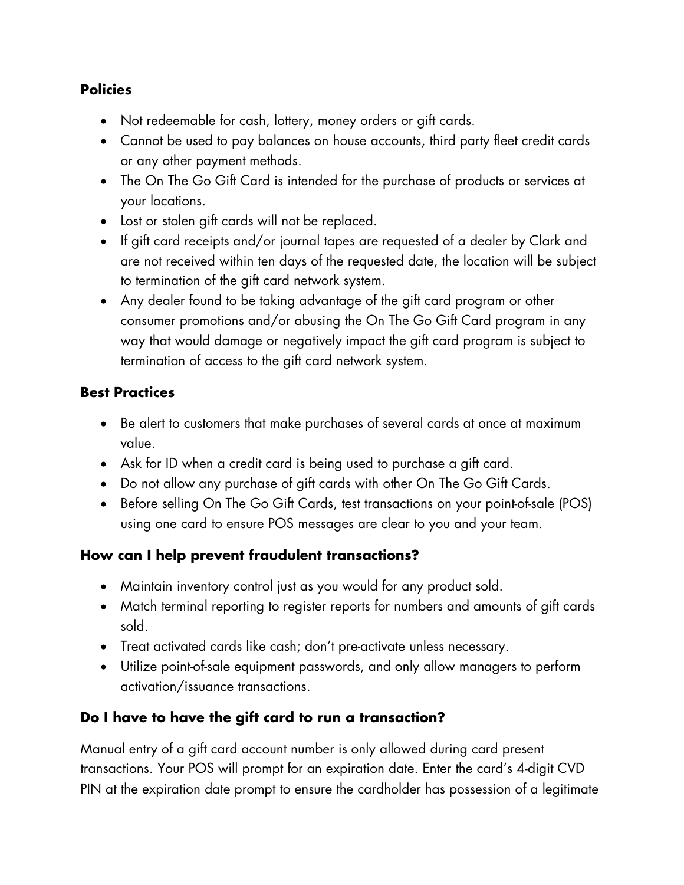# **Policies**

- Not redeemable for cash, lottery, money orders or gift cards.
- Cannot be used to pay balances on house accounts, third party fleet credit cards or any other payment methods.
- The On The Go Gift Card is intended for the purchase of products or services at your locations.
- Lost or stolen gift cards will not be replaced.
- If gift card receipts and/or journal tapes are requested of a dealer by Clark and are not received within ten days of the requested date, the location will be subject to termination of the gift card network system.
- Any dealer found to be taking advantage of the gift card program or other consumer promotions and/or abusing the On The Go Gift Card program in any way that would damage or negatively impact the gift card program is subject to termination of access to the gift card network system.

#### **Best Practices**

- Be alert to customers that make purchases of several cards at once at maximum value.
- Ask for ID when a credit card is being used to purchase a gift card.
- Do not allow any purchase of gift cards with other On The Go Gift Cards.
- Before selling On The Go Gift Cards, test transactions on your point-of-sale (POS) using one card to ensure POS messages are clear to you and your team.

#### **How can I help prevent fraudulent transactions?**

- Maintain inventory control just as you would for any product sold.
- Match terminal reporting to register reports for numbers and amounts of gift cards sold.
- Treat activated cards like cash; don't pre-activate unless necessary.
- Utilize point-of-sale equipment passwords, and only allow managers to perform activation/issuance transactions.

# **Do I have to have the gift card to run a transaction?**

Manual entry of a gift card account number is only allowed during card present transactions. Your POS will prompt for an expiration date. Enter the card's 4-digit CVD PIN at the expiration date prompt to ensure the cardholder has possession of a legitimate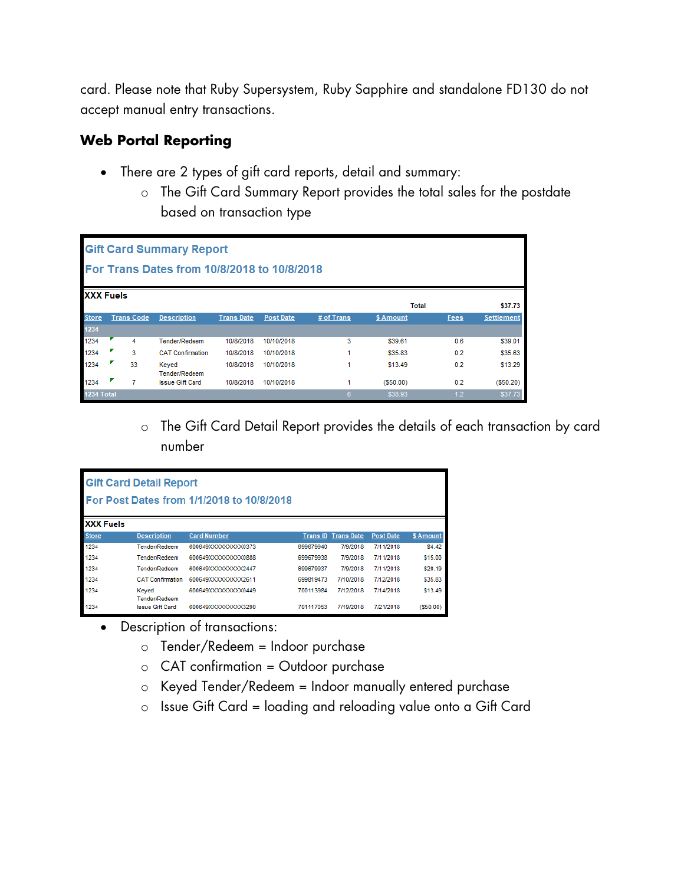card. Please note that Ruby Supersystem, Ruby Sapphire and standalone FD130 do not accept manual entry transactions.

# **Web Portal Reporting**

- There are 2 types of gift card reports, detail and summary:
	- o The Gift Card Summary Report provides the total sales for the postdate based on transaction type

| <b>Gift Card Summary Report</b><br>For Trans Dates from 10/8/2018 to 10/8/2018 |   |                   |                         |                   |                  |            |           |      |                   |  |  |  |  |
|--------------------------------------------------------------------------------|---|-------------------|-------------------------|-------------------|------------------|------------|-----------|------|-------------------|--|--|--|--|
| <b>XXX Fuels</b><br>\$37.73<br><b>Total</b>                                    |   |                   |                         |                   |                  |            |           |      |                   |  |  |  |  |
| <b>Store</b>                                                                   |   | <b>Trans Code</b> | <b>Description</b>      | <b>Trans Date</b> | <b>Post Date</b> | # of Trans | \$ Amount | Fees | <b>Settlement</b> |  |  |  |  |
| 1234                                                                           |   |                   |                         |                   |                  |            |           |      |                   |  |  |  |  |
| 1234                                                                           |   | 4                 | Tender/Redeem           | 10/8/2018         | 10/10/2018       | 3          | \$39.61   | 0.6  | \$39.01           |  |  |  |  |
| 1234                                                                           | ◤ | 3                 | <b>CAT Confirmation</b> | 10/8/2018         | 10/10/2018       |            | \$35.83   | 0.2  | \$35.63           |  |  |  |  |
| 1234                                                                           |   | 33                | Keyed<br>Tender/Redeem  | 10/8/2018         | 10/10/2018       |            | \$13.49   | 0.2  | \$13.29           |  |  |  |  |
| 1234                                                                           |   | 7                 | <b>Issue Gift Card</b>  | 10/8/2018         | 10/10/2018       |            | (S50.00)  | 0.2  | $($ \$50.20)      |  |  |  |  |
| 1234 Total                                                                     |   |                   |                         |                   |                  | 6          | \$38.93   | 1.2  | \$37.73           |  |  |  |  |

o The Gift Card Detail Report provides the details of each transaction by card number

| <b>Gift Card Detail Report</b><br>For Post Dates from 1/1/2018 to 10/8/2018 |                         |                      |           |                            |                  |           |  |  |  |  |  |  |
|-----------------------------------------------------------------------------|-------------------------|----------------------|-----------|----------------------------|------------------|-----------|--|--|--|--|--|--|
| <b>XXX Fuels</b>                                                            |                         |                      |           |                            |                  |           |  |  |  |  |  |  |
| <b>Store</b>                                                                | <b>Description</b>      | <b>Card Number</b>   |           | <b>Trans ID Trans Date</b> | <b>Post Date</b> | \$ Amount |  |  |  |  |  |  |
| 1234                                                                        | Tender/Redeem           | 600649XXXXXXXXXX0373 | 699679940 | 7/9/2018                   | 7/11/2018        | \$4.42    |  |  |  |  |  |  |
| 1234                                                                        | Tender/Redeem           | 600649XXXXXXXXXX0888 | 699679938 | 7/9/2018                   | 7/11/2018        | \$15.00   |  |  |  |  |  |  |
| 1234                                                                        | Tender/Redeem           | 600649XXXXXXXXXX2447 | 699679937 | 7/9/2018                   | 7/11/2018        | \$20.19   |  |  |  |  |  |  |
| 1234                                                                        | <b>CAT Confirmation</b> | 600649XXXXXXXXXX2611 | 699819473 | 7/10/2018                  | 7/12/2018        | \$35.83   |  |  |  |  |  |  |
| 1234                                                                        | Keved<br>Tender/Redeem  | 600649XXXXXXXXXX0449 | 700113984 | 7/12/2018                  | 7/14/2018        | \$13.49   |  |  |  |  |  |  |
| 1234                                                                        | <b>Issue Gift Card</b>  | 600649XXXXXXXXXX3290 | 701117053 | 7/19/2018                  | 7/21/2018        | (\$50.00) |  |  |  |  |  |  |

- Description of transactions:
	- o Tender/Redeem = Indoor purchase
	- $\circ$  CAT confirmation = Outdoor purchase
	- o Keyed Tender/Redeem = Indoor manually entered purchase
	- $\circ$  Issue Gift Card = loading and reloading value onto a Gift Card